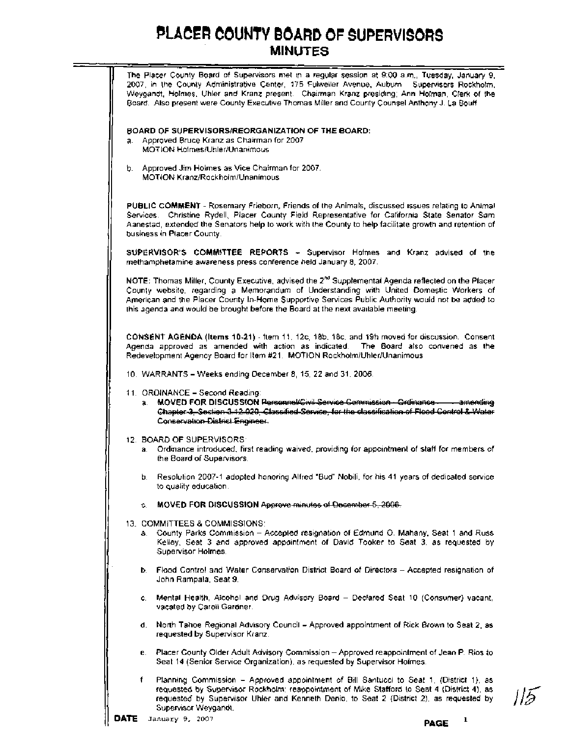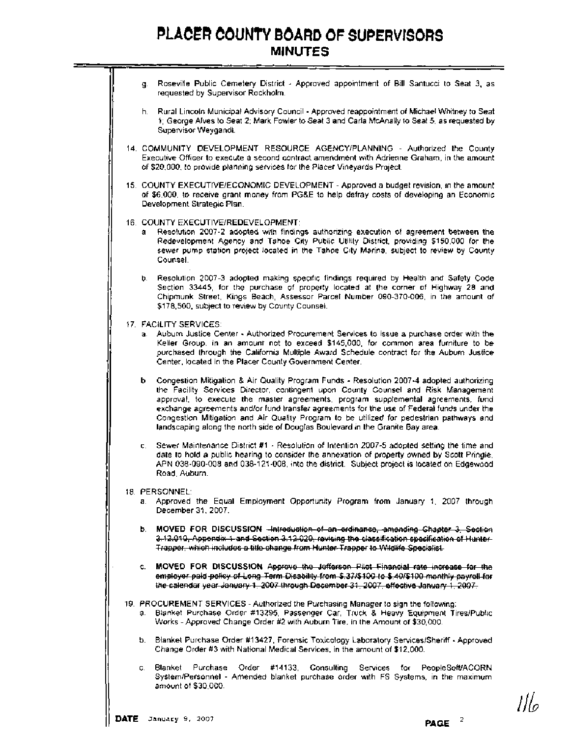- g. Roseville Public Cemetery District Approved appointment of Bill Santucci to Seat 3, as requested by Supervisor Rockholm.
- h. Rural Lincoln Municipal Advisory Council Approved reappointment of Michael Whitney to Seat 1 ; George Alves to Seat 2; Mark Fowler to Seat 3 and Carla McAnally to Seat 5, as requested by Supervisor Weygandt.
- 14. COMMUNITY DEVELOPMENT RESOURCE AGENCYIPLANNING Authorized the County Executive Officer to execute a second contract amendment with Adrienne Graham, in the amount of \$20,000, to provide planning services for the Placer Vineyards Project.
- 15. COUNTY EXECUTIVEIECONOMIC DEVELOPMENT Approved a budget revision, in the amount of \$6,000, to receive grant money from PG&E to help defray costs of developing an Economic Development Strategic Plan.
- 16. COUNTY EXECUTIVEIREDEVELOPMENT:
	- a. Resolution 2007-2 adopted with findings authorizing execution of agreement between the Redevelopment Agency and Tahoe City Public Utility District, providing \$150,000 for the sewer pump station project located in the Tahoe City Marina, subject to review by County Counsel.
	- b. Resolution 2007-3 adopted making specific findings required by Health and Safety Code Section 33445, for the purchase of property located at the corner of Highway 28 and Chipmunk Street, Kings Beach, Assessor Parcel Number 090-370-006, in the amount of \$178,500, subject to review by County Counsel.
- 17. FACILITY SERVICES:
	- a. Auburn Justice Center Authorized Procurement Services to issue a purchase order with the Keller Group, in an amount not to exceed \$145,000, for common area furniture to be purchased through the California Multiple Award Schedule contract for the Auburn Justice Center, located in the Placer County Government Center.
- b. Congestion Mitigation & Air Quality Program Funds Resolution 2007-4 adopted authorizing the Facility Services Director, contingent upon County Counsel and Risk Management approval, to execute the master agreements, program supplemental agreements, fund exchange agreements andlor fund transfer agreements for the use of Federal funds under the Congestion Mitigation and Air Quality Program to be utilized for pedestrian pathways and landscaping along the north side of Douglas Boulevard in the Granite Bay area. Development Strategie Plant<br>Colling Flant<br>Colling Flant<br>Colling Flant (means absorber of agreement between the<br>Redovelopment Agency and Tarbox Ofy Public Ullity District, providing \$150.000 for the<br>Redovelopment Agency and Under the Material Propries Propries and the State of the Back of the Place Vineywells and the material in the amount from PG&E to the Place Vineywells a budget terstion, in the amount from PG&E to the Place Vineywells a b
	- c. Sewer Maintenance District #1 Resolution of Intention 2007-5 adopted setting the time and date to hold a public hearing to consider the annexation of property owned by Scott Pringle, APN 038-090-008 and 038-121-008, into the district. Subject project is located on Edgewood Road, Auburn.
- 18. PERSONNEL:
	- a. Approved the Equal Employment Opportunity Program from January 1, 2007 through December 31. 2007.
	-
	- c. **MOVED FOR DISCUSSION**
- 19. PROCUREMENT SERVICES Authorized the Purchasing Manager to sign the following: a. Blanket Purchase Order #13295, Passenger Car, Truck & Heavy Equipment TiresIPublic Works -Approved Change Order #2 with Auburn Tire, in the Amount of \$30,000.
	- **b.** Blanket Purchase Order #13427, Forensic Toxicology Laboratory Serviceslsheriff Approved Change Order #3 with National Medical Services, in the amount of \$12.000.
	- c. Blanket Purchase Order #14133, Consulting Services for PeopleSoWACORN System/Personnel - Amended blanket purchase order with FS Systems, in the maximum amount of \$30,000.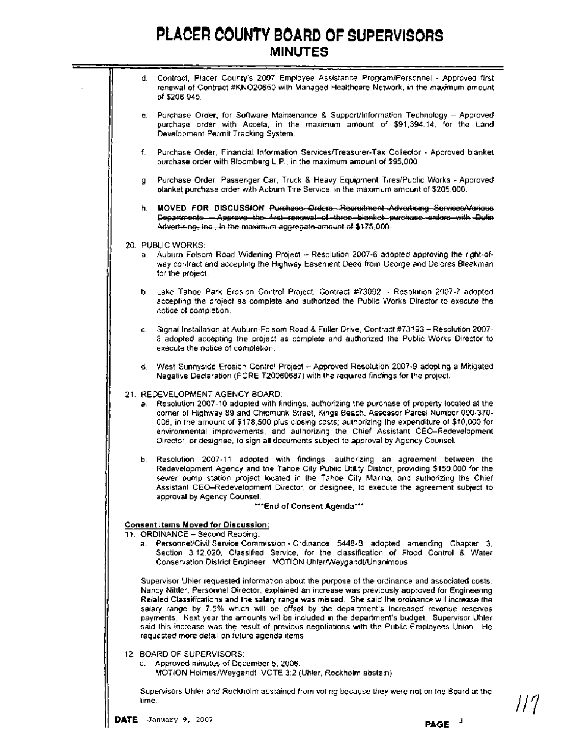d. Contract, Placer County's 2007 Employee Assistance ProgramlPersonnel - Approved first renewal of Contract #KN020650 with Managed Healthcare Network, in the maximum amount of \$206,945. e. Purchase Order, for Software Maintenance **<sup>8</sup>**Support/lnformation Technology - Approved purchase order with Accela, in the maximum amount of \$91,394.14, for the Land Development Permit Tracking System. f. Purchase Order, Financial Information Services/Treasurer-Tax Collector - Approved blanket purchase order with Bloomberg L.P., in the maximum amount of \$95,000. g. Purchase Order, Passenger Car, Truck & Heavy Equipment TireslPublic Works - Approved blanket purchase order with Auburn Tire Service, in the maximum amount of \$205,000. **PLACER COUNTY BOARD OF SUPERVISORS**<br>
MINUTES<br>
d. Contrast Placet Courty's 2007 Employee Assistance Program/Fersonnal - Approved frist<br>
remeval of Contract #KNO20630 with Managed Healthcare Network, in the maximum amount<br> 20. PUBLIC WORKS: Auburn Folsom Road Widening Project -- Resolution 2007-6 adopted approving the right-ofway contract and accepting the Highway Easement Deed from George and Delores Bleekman for the project. b. Lake Tahoe Park Erosion Control Project, Contract #73092 - Resolution 2007-7 adopted accepting the project as complete and authorized the Public Works Director to execute the notice of completion. c. Signal Installation at Auburn-Folsom Road & Fuller Drive, Contract #73193 - Resolution 2007- 8 adopted accepting the project as complete and authorized the Public Works Director to execute the notice of completion. II d. West Sunnyside Erosion Control Project - Approved Resolution 2007-9 adopting a Mitigated Negative Declaration (PCRE T20060687) with the required findings for the project. 21. REDEVELOPMENT AGENCY BOARD: a. Resolution 2007-10 adopted with findings, authorizing the purchase of property located at the corner of Highway 89 and Chipmunk Street, Kings Beach, Assessor Parcel Number 090-370- 006, in the amount of \$178,500 plus closing costs; authorizing the expenditure of \$10,000 for environmental improvements, and authorizing the Chief Assistant CEO-Redevelopment Director, or designee, to sign all documents subject to approval by Agency Counsel. b. Resolution 2007-11 adopted with findings, authorizing an agreement between the Redevelopment Agency and the Tahoe City Public Utility District, providing \$150,000 for the sewer pump station project located in the Tahoe City Marina, and authorizing the Chief Assistant CEO-Redevelopment Director, or designee, to execute the agreement subject to approval by Agency Counsel. **\*\*\*End of Consent Agenda"\* Consent Items Moved for Discussion:**  11. ORDINANCE - Second Reading: a. PersonnellCivil Service Commission - Ordinance 5448-B adopted amending Chapter 3, Section 3.12.020, Classified Service, for the classification of Flood Control **8** Water Conservation District Engineer. MOTION UhlerNVeygandtlUnanimous Supervisor Uhler requested information about the purpose of the ordinance and associated costs. Nancy Nittler, Personnel Director, explained an increase was previously approved for Engineering Related Classifications and the salary range was missed. She said the ordinance will increase the salary range by 7.5% which will be offset by the department's increased revenue reserves payments. Next year the amounts will be included in the department's budget. Supervisor Uhler said this increase was the result of previous negotiations with the Public Employees Union. He requested more detail on future agenda items. 12. BOARD OF SUPERVISORS: c. Approved minutes of December 5, 2006. MOTION HolmesNVeygandt VOTE 3:2 (Uhler, Rockholm abstain) Supervisors Uhler and Rockholm abstained from voting because they were not on the Board at the

time.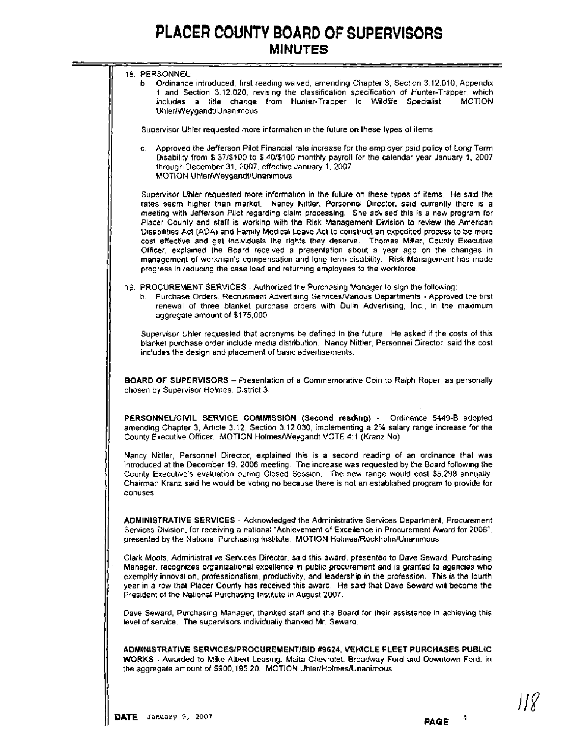| 18. PERSONNEL:                                                                                                                                                                                                                                                                                                                                                                                                                                                                                                                                                                                                                                                                                                                                                                                                                                                          |
|-------------------------------------------------------------------------------------------------------------------------------------------------------------------------------------------------------------------------------------------------------------------------------------------------------------------------------------------------------------------------------------------------------------------------------------------------------------------------------------------------------------------------------------------------------------------------------------------------------------------------------------------------------------------------------------------------------------------------------------------------------------------------------------------------------------------------------------------------------------------------|
| b Ordinance introduced, first reading waived, amending Chapter 3, Section 3.12.010, Appendix                                                                                                                                                                                                                                                                                                                                                                                                                                                                                                                                                                                                                                                                                                                                                                            |
| 1 and Section 3.12.020, revising the classification specification of Hunter-Trapper, which                                                                                                                                                                                                                                                                                                                                                                                                                                                                                                                                                                                                                                                                                                                                                                              |
| includes a title change from Hunter-Trapper to Wildlife Specialist.<br><b>MOTION</b><br>Uhler/Weygandt/Unanimous                                                                                                                                                                                                                                                                                                                                                                                                                                                                                                                                                                                                                                                                                                                                                        |
| Supervisor Uhler requested more information in the future on these types of items                                                                                                                                                                                                                                                                                                                                                                                                                                                                                                                                                                                                                                                                                                                                                                                       |
| c. Approved the Jefferson Pilot Financial rate increase for the employer paid policy of Long Term                                                                                                                                                                                                                                                                                                                                                                                                                                                                                                                                                                                                                                                                                                                                                                       |
| Disability from \$.37/\$100 to \$.40/\$100 monthly payroll for the calendar year January 1, 2007.<br>through December 31, 2007, effective January 1, 2007.<br>MOTION Uhler/Weygandt/Unanimous                                                                                                                                                                                                                                                                                                                                                                                                                                                                                                                                                                                                                                                                           |
| Supervisor Uhler requested more information in the fulure on these types of items. He said the<br>rates seem higher than market. Nancy Nittler, Personnel Director, said currently there is a<br>meeting with Jefferson Pilot regarding claim processing. She advised this is a new program for<br>Placer County and staff is working with the Risk Management Division to review the American<br>Disabilities Act (ADA) and Family Medical Leave Act to construct an expedited process to be more<br>cost effective and get individuals the rights they deserve. Thomas Miller, County Executive<br>Officer, explained the Board received a presentation about a year ago on the changes in<br>management of workman's compensation and long term disability. Risk Management has made<br>progress in reducing the case load and returning employees to the workforce. |
| 19. PROCUREMENT SERVICES - Authorized the Purchasing Manager to sign the following:<br>h. Purchase Orders, Recruitment Advertising Services/Various Departments - Approved the first<br>renewal of three blanket purchase orders with Dulin Advertising, Inc., in the maximum<br>aggregate amount of \$175,000.                                                                                                                                                                                                                                                                                                                                                                                                                                                                                                                                                         |
| Supervisor Uhler requested that acronyms be defined in the future. He asked if the costs of this<br>blanket purchase order include media distribution. Nancy Nittler, Personnel Director, said the cost<br>includes the design and placement of basic advertisements.                                                                                                                                                                                                                                                                                                                                                                                                                                                                                                                                                                                                   |
| BOARD OF SUPERVISORS - Presentation of a Commemorative Coin to Raiph Roper, as personally<br>chosen by Supervisor Holmes, District 3.                                                                                                                                                                                                                                                                                                                                                                                                                                                                                                                                                                                                                                                                                                                                   |
| PERSONNEL/CIVIL SERVICE COMMISSION (Second reading) - Ordinance 5449-B adopted<br>amending Chapter 3, Article 3.12, Section 3.12.030, implementing a 2% salary range increase for the<br>County Executive Officer. MOTION Holmes/Weygandt VOTE 4:1 (Kranz No)                                                                                                                                                                                                                                                                                                                                                                                                                                                                                                                                                                                                           |
| Nancy Nittler, Personnel Director, explained this is a second reading of an ordinance that was<br>introduced at the December 19, 2006 meeting. The increase was requested by the Board following the<br>County Executive's evaluation during Closed Session. The new range would cost \$5,298 annually.<br>Chairman Kranz said he would be voting no because there is not an established program to provide for<br>bonuses                                                                                                                                                                                                                                                                                                                                                                                                                                              |
| ADMINISTRATIVE SERVICES - Acknowledged the Administrative Services Department, Procurement<br>Services Division, for receiving a national "Achievement of Excellence in Procurement Award for 2006",<br>presented by the National Purchasing Institute. MOTION Holmes/Rockholm/Unanimous                                                                                                                                                                                                                                                                                                                                                                                                                                                                                                                                                                                |
| Clark Moots, Administrative Services Director, said this award, presented to Dave Seward, Purchasing<br>Manager, recognizes organizational excellence in public procurement and is granted to agencies who<br>exemplify innovation, professionalism, productivity, and leadership in the profession. This is the fourth<br>year in a row that Placer County has received this award. He said that Dave Seward will become the<br>President of the National Purchasing Institute in August 2007.                                                                                                                                                                                                                                                                                                                                                                         |
| Dave Seward, Purchasing Manager, thanked staff and the Board for their assistance in achieving this<br>level of service. The supervisors individually thanked Mr. Seward.                                                                                                                                                                                                                                                                                                                                                                                                                                                                                                                                                                                                                                                                                               |
|                                                                                                                                                                                                                                                                                                                                                                                                                                                                                                                                                                                                                                                                                                                                                                                                                                                                         |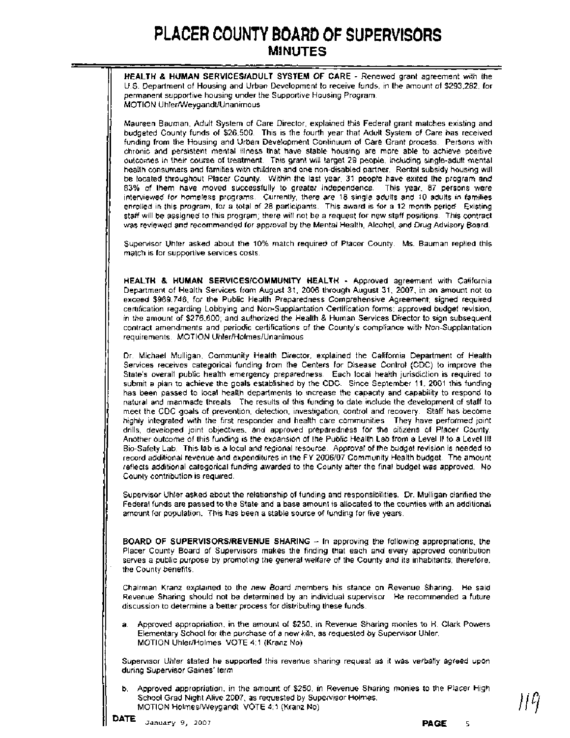- - - - - - - - - - **HEALTH** & **HUMAN SERVICESIADULT SYSTEM OF CARE** - Renewed grant agreement with the U.S. Department of Housing and Urban Development to receive funds, in the amount of \$293,282, for permanent supportive housing under the Supportive Housing Program. MOTION Uhler/Weygandt/Unanimous

Maureen Bauman, Adult System of Care Director, explained this Federal grant matches existing and budgeted County funds of \$26,500. This is the fourth year that Adult System of Care has received funding from the Housing and Urban Development Continuum of Care Grant process. Persons with chronic and persistent mental illness that have stable housing are more able to achieve positive outcomes in their course of treatment. This grant will target 29 people, including single-adult mental health consumers and families with children and one non-disabled partner. Rental subsidy housing will be located throughout Placer County. Within the last year, 31 people have exited the program and 83% of them have moved successfully to greater independence. This year, 87 persons were interviewed for homeless programs. Currently, there are 18 single adults and 10 adults in families enrolled in this program, for a total of 28 participants. This award is for a 12 month period. Existing staff will be assigned to this program; there will not be a request for new staff positions. This contract was reviewed and recommended for approval by the Mental Health, Alcohol, and Drug Advisory Board.

Supervisor Uhler asked about the 10% match required of Placer County. Ms. Bauman replied this match is for supportive services costs.

**HEALTH 8 HUMAN SERVlCESlCOMMUNlTY HEALTH** - Approved agreement with California Department of Health Services from August 31, 2006 through August 31, 2007, in an amount not to exceed \$969,746, for the Public Health Preparedness Comprehensive Agreement; signed required certification regarding Lobbying and Non-Supplantation Certification forms; approved budget revision. in the amount of \$276,600; and authorized the Health & Human Services Director to sign subsequent contract amendments and periodic certifications of the County's compliance with Non-Supplantation requirements. MOTION Uhler/Holmes/Unanimous

Dr. Michael Mulligan, Community Health Director, explained the California Department of Health Services receives categorical funding from the Centers for Disease Control (CDC) to improve the State's overall public health emergency preparedness. Each local health jurisdiction is required to submit a plan to achieve the goals established by the CDC. Since September 11, 2001 this funding has been passed to local health departments to increase the capacity and capability to respond to natural and manmade threats. The results of this funding to date include the development of staff to meet the CDC goals of prevention, detection, investigation, control and recovery. Staff has become highly integrated with the first responder and health care communities. They have performed joint drills, developed joint objectives, and approved preparedness for the citizens of Placer County. Another outcome of this funding is the expansion of the Public Health Lab from a Level II to a Level Ill Bio-Safety Lab. This lab is a local and regional resource. Approval of the budget revision is needed to record additional revenue and expenditures in the FY 2006/07 Community Health budget. The amount reflects additional categorical funding awarded to the County after the final budget was approved. No County contribution is required.

Supervisor Uhler asked about the relationship of funding and responsibilities. Dr. Mulligan clarified the Federal funds are passed to the State and a base amount is allocated to the counties with an additional amount for population. This has been a stable source of funding for five years.

**BOARD OF SUPERVISORS/REVENUE SHARING - In approving the following appropriations, the** Placer County Board of Supervisors makes the finding that each and every approved contribution serves a public purpose by promoting the general welfare of the County and its inhabitants; therefore, the County benefits.

Chairman Kranz explained to the new Board members his stance on Revenue Sharing. He said Revenue Sharing should not be determined by an individual supervisor. He recommended a future discussion to determine a better process for distributing these funds.

Approved appropriation, in the amount of \$250, in Revenue Sharing monies to H. Clark Powers Elementary School for the purchase of a new kiln, as requested by Supervisor Uhler. MOTION UhlerIHolmes VOTE 4:l (Kranz No)

Supervisor Uhler stated he supported this revenue sharing request as it was verbally agreed upon during Supervisor Gaines' term.

b. Approved appropriation, in the amount of \$250, in Revenue Sharing monies to the Placer High School Grad Night Alive 2007, as requested by Supervisor Holmes. MOTION HolmesNVeygandt VOTE 4:l (Kranz No)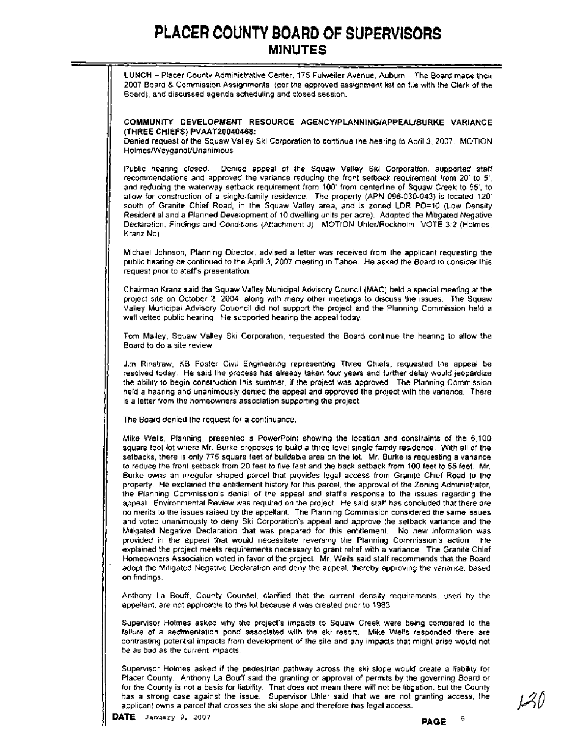LUNCH - Placer County Administrative Center, 175 Fulweiler Avenue, Auburn - The Board made their 2007 Board & Commission Assignments, (per the approved assignment list on file with the Clerk of the Board), and discussed agenda scheduling and closed session.

#### COMMUNITY DEVELOPMENT RESOURCE **AGENCYIPLANNINGIAPPEAUBURKE** VARIANCE (THREE CHIEFS) PVAAT20040468:

Denied request of the Squaw Valley Ski Corporation to continue the hearing to April 3, 2007. MOTION HolmesNVeygandtlUnanimous.

Public hearing closed. Denied appeal of the Squaw Valley Ski Corporation, supported staff recommendations and approved the variance reducing the front setback requirement from 20' to **5',**  and reducing the waterway setback requirement from 100' from centerline of Squaw Creek to 55', to allow for construction of a single-family residence. The property (APN 096-030-043) is located 120' south of Granite Chief Road, in the Squaw Valley area, and is zoned LDR PD=10 (Low Density Residential and a Planned Development of 10 dwelling units per acre). Adopted the Mitigated Negative Declaration, Findings and Conditions (Attachment J). MOTION Uhler/Rockholm VOTE 3:2 (Holmes, Kranz No)

Michael Johnson, Planning Director, advised a letter was received from the applicant requesting the public hearing be continued to the April 3, 2007 meeting in Tahoe. He asked the Board to consider this request prior to staff's presentation.

Chairman Kranz said the Squaw Valley Municipal Advisory Council (MAC) held a special meeting at the project site on October 2, 2004, along with many other meetings to discuss the issues. The Squaw Valley Municipal Advisory Couoncil did not support the project and the Planning Commission held a well vetted public hearing. He supported hearing the appeal today.

Tom Malley, Squaw Valley Ski Corporation, requested the Board continue the hearing to allow the Board to do a site review.

Jim Rinstraw, KB Foster Civil Engineering representing Three Chiefs, requested the appeal be resolved today. He said the process has already taken four years and further delay would jeopardize the ability to begin construction this summer, if the project was approved. The Planning Commission held a hearing and unanimously denied the appeal and approved the project with the variance. There is a letter from the homeowners association supporting the project.

The Board denied the request for a continuance.

Mike Wells, Planning, presented a PowerPoint showing the location and constraints of the 6,100 square foot lot where Mr. Burke proposes to build a three level single family residence. With all of the setbacks, there is only 775 square feet of buildable area on the lot. Mr. Burke is requesting a variance to reduce the front setback from 20 feet to five feet and the back setback from 100 feet to **55** feet. Mr. Burke owns an irregular shaped parcel that provides legal access from Granite Chief Road to the property. He explained the entitlement history for this parcel, the approval of the Zoning Administrator, 1 the Planning Commission's denial of the appeal and staff's response to the issues regarding the appeal. Environmental Review was required on the project. He said staff has concluded that there are no merits to the issues raised by the appellant. The Planning Commission considered the same issues and voted unanimously to deny Ski Corporation's appeal and approve the setback variance and the Mitigated Negative Declaration that was prepared for this entitlement. No new information was provided in the appeal that would necessitate reversing the Planning Commission's action. He explained the project meets requirements necessary to grant relief with a variance. The Granite Chief Homeowners Association voted in favor of the project. Mr. Wells said staff recommends that the Board adopt the Mitigated Negative Declaration and deny the appeal, thereby approving the variance, based on findings.

Anthony La Bouff, County Counsel, clarified that the current density requirements, used by the appellant, are not applicable to this lot because it was created prior to 1983.

Supervisor Holmes asked why the project's impacts to Squaw Creek were being compared to the failure of a sedimentation pond associated with the ski resort. Mike Wells responded there are contrasting potential impacts from development of the site and any impacts that might arise would not be as bad as the current impacts.

Supervisor Holmes asked if the pedestrian pathway across the ski slope would create a liability for Placer County. Anthony La Bouff said the granting or approval of permits by the governing Board or for the County is not a basis for liability. That does not mean there will not be litigation, but the County has a strong case against the issue. Supervisor Uhler said that we are not granting access, the applicant owns a parcel that crosses the ski slope and therefore has legal access.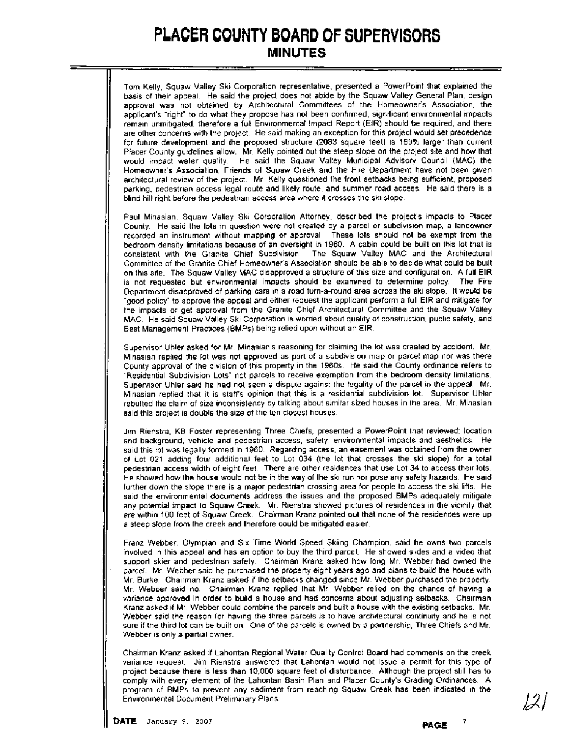Tom Kelly, Squaw Valley Ski Corporation representative, presented a PowerPoint that explained the basis of their appeal. He said the project does not abide by the Squaw Valley General Plan, design approval was not obtained by Architectural Committees of the Homeowner's Association, the applicant's "right" to do what they propose has not been confirmed, significant environmental impacts remain unmitigated, therefore a full Environmental Impact Report (EIR) should be required, and there are other concerns with the project. He said making an exception for this project would set precedence for future development and the proposed structure (2083 square feet) is 169% larger than current Placer County guidelines allow. Mr. Kelly pointed out the steep slope on the project site and how that would impact water quality. He said the Squaw Valley Municipal Advisory Council (MAC) the Homeowner's Association, Friends of Squaw Creek and the Fire Department have not been given architectural review of the project. Mr. Kelly questioned the front setbacks being sufficient, proposed parking, pedestrian access legal route and likely route, and summer road access. He said there is a blind hill right before the pedestrian access area where it crosses the ski slope.

Paul Minasian, Squaw Valley Ski Corporation Attorney, described the project's impacts to Placer County. He said the lots in question were not created by a parcel or subdivision map, a landowner recorded an instrument without mapping or approval. These lots should not be exempt from the bedroom density limitations because of an oversight in 1960. A cabin could be built on this lot that is consistent with the Granite Chief Subdivision. The Squaw Valley MAC and the Architectural Committee of the Granite Chief Homeowner's Association should be able to decide what could be built on this site. The Squaw Valley MAC disapproved a structure of this size and configuration. A full EIR is not requested but environmental impacts should be examined to determine policy. The Fire Department disapproved of parking cars in a road turn-a-round area across the ski slope. It would be "good policy" to approve the appeal and either request the applicant perform a full EIR and mitigate for the impacts or get approval from the Granite Chief Architectural Committee and the Squaw Valley MAC. He said Squaw Valley Ski Corporation is worried about quality of construction, public safety, and Best Management Practices (BMPs) being relied upon without an EIR.

Supervisor Uhler asked for Mr. Minasian's reasoning for claiming the lot was created by accident. Mr. Minasian replied the lot was not approved as part of a subdivision map or parcel map nor was there County approval of the division of this property in the 1960s. He said the County ordinance refers to "Residential Subdivision Lots" not parcels to receive exemption from the bedroom density limitations. Supervisor Uhler said he had not seen a dispute against the legality of the parcel in the appeal. Mr. Minasian replied that it is staff's opinion that this is a residential subdivision lot. Supervisor Uhler rebutted the claim of size inconsistency by talking about similar sized houses in the area. Mr. Minasian said this project is double the size of the ten closest houses.

Jim Rienstra, KB Foster representing Three Chiefs, presented a PowerPoint that reviewed: location and background, vehicle and pedestrian access, safety, environmental impacts and aesthetics. He said this lot was legally formed in 1960. Regarding access, an easement was obtained from the owner of Lot 021 adding four additional feet to Lot 034 (the lot that crosses the ski slope) for a total pedestrian access width of eight feet. There are other residences that use Lot **34** to access their lots. He showed how the house would not be in the way of the ski run nor pose any safety hazards. He said further down the slope there is a major pedestrian crossing area for people to access the ski lifts. He said the environmental documents address the issues and the proposed BMPs adequately mitigate any potential impact to Squaw Creek. Mr. Rienstra showed pictures of residences in the vicinity that are within 100 feet of Squaw Creek. Chairman Kranz pointed out that none of the residences were up a steep slope from the creek and therefore could be mitigated easier.

Franz Webber, Olympian and Six Time World Speed Skiing Champion, said he owns two parcels involved in this appeal and has an option to buy the third parcel. He showed slides and a video that support skier and pedestrian safety. Chairman Kranz asked how long Mr. Webber had owned the parcel. Mr. Webber said he purchased the property eight years ago and plans to build the house with Mr. Burke. Chairman Kranz asked if the setbacks changed since Mr. Webber purchased the property. Mr. Webber said no. Chairman Kranz replied that Mr. Webber relied on the chance of having a variance approved in order to build a house and had concerns about adjusting setbacks. Chairman Kranz asked if Mr. Webber could combine the parcels and built a house with the existing setbacks. Mr. Webber said the reason for having the three parcels is to have architectural continuity and he is not sure if the third lot can be built on. One of the parcels is owned by a partnership, Three Chiefs and Mr. Webber is only a partial owner.

Chairman Kranz asked if Lahontan Regional Water Quality Control Board had comments on the creek variance request. Jim Rienstra answered that Lahontan would not issue a permit for this type of project because there is less than 10,000 square feet of disturbance. Although the project still has to comply with every element of the Lahontan Basin Plan and Placer County's Grading Ordinances. A program of BMPs to prevent any sediment from reaching Squaw Creek has been indicated in the Environmental Document Preliminary Plans.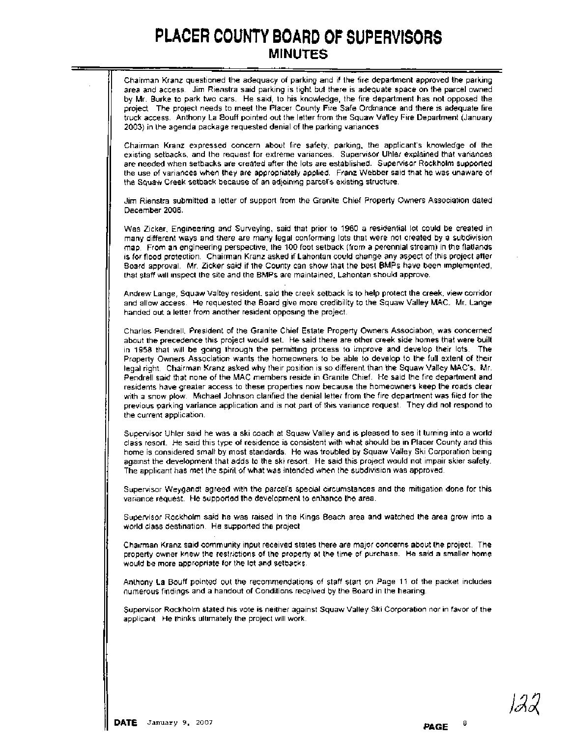| Chairman Kranz questioned the adequacy of parking and if the fire department approved the parking<br>area and access. Jim Rienstra said parking is tight but there is adequate space on the parcel owned<br>by Mr. Burke to park two cars. He said, to his knowledge, the fire department has not opposed the<br>project. The project needs to meet the Placer County Fire Safe Ordinance and there is adequate fire<br>truck access. Anthony La Bouff pointed out the letter from the Squaw Valley Fire Department (January<br>2003) in the agenda package requested denial of the parking variances                                                                                                                                                                                                                                                                                                                                                                                         |
|-----------------------------------------------------------------------------------------------------------------------------------------------------------------------------------------------------------------------------------------------------------------------------------------------------------------------------------------------------------------------------------------------------------------------------------------------------------------------------------------------------------------------------------------------------------------------------------------------------------------------------------------------------------------------------------------------------------------------------------------------------------------------------------------------------------------------------------------------------------------------------------------------------------------------------------------------------------------------------------------------|
| Chairman Kranz expressed concern about fire safety, parking, the applicant's knowledge of the<br>existing setbacks, and the request for extreme variances. Supervisor Uhler explained that variances<br>are needed when setbacks are created after the lots are established. Supervisor Rockholm supported<br>the use of variances when they are appropriately applied. Franz Webber said that he was unaware of<br>the Squaw Creek setback because of an adjoining parcel's existing structure.                                                                                                                                                                                                                                                                                                                                                                                                                                                                                              |
| Jim Rienstra submitted a letter of support from the Granite Chief Property Owners Association dated<br>December 2006.                                                                                                                                                                                                                                                                                                                                                                                                                                                                                                                                                                                                                                                                                                                                                                                                                                                                         |
| Wes Zicker, Engineering and Surveying, said that prior to 1960 a residential lot could be created in<br>many different ways and there are many legal conforming lots that were not created by a subdivision<br>map. From an engineering perspective, the 100 foot setback (from a perennial stream) in the flatlands<br>is for flood protection. Chairman Kranz asked if Lahontan could change any aspect of this project after<br>Board approval. Mr. Zicker said if the County can show that the best BMPs have been implemented,<br>that staff will inspect the site and the BMPs are maintained, Lahontan should approve.                                                                                                                                                                                                                                                                                                                                                                 |
| Andrew Lange, Squaw Valley resident, said the creek setback is to help protect the creek, view corridor<br>and allow access. He requested the Board give more credibility to the Squaw Valley MAC. Mr. Lange<br>handed out a letter from another resident opposing the project.                                                                                                                                                                                                                                                                                                                                                                                                                                                                                                                                                                                                                                                                                                               |
| Charles Pendrell, President of the Granite Chief Estate Property Owners Association, was concerned<br>about the precedence this project would set. He said there are other creek side homes that were built<br>in 1958 that will be going through the permitting process to improve and develop their lots. The<br>Property Owners Association wants the homeowners to be able to develop to the full extent of their<br>legal right. Chairman Kranz asked why their position is so different than the Squaw Valley MAC's. Mr.<br>Pendrell said that none of the MAC members reside in Granite Chief. He said the fire department and<br>residents have greater access to these properties now because the homeowners keep the roads clear<br>with a snow plow. Michael Johnson clarified the denial letter from the fire department was filed for the<br>previous parking variance application and is not part of this variance request. They did not respond to<br>the current application. |
| Supervisor Uhler said he was a ski coach at Squaw Valley and is pleased to see it turning into a world<br>class resort. He said this type of residence is consistent with what should be in Placer County and this<br>home is considered small by most standards. He was troubled by Squaw Valley Ski Corporation being<br>against the development that adds to the ski resort. He said this project would not impair skier safety.<br>The applicant has met the spirit of what was intended when the subdivision was approved.                                                                                                                                                                                                                                                                                                                                                                                                                                                               |
| Supervisor Weygandt agreed with the parcel's special circumstances and the mitigation done for this<br>variance request. He supported the development to enhance the area.                                                                                                                                                                                                                                                                                                                                                                                                                                                                                                                                                                                                                                                                                                                                                                                                                    |
| Supervisor Rockholm said he was raised in the Kings Beach area and watched the area grow into a<br>world class destination. He supported the project                                                                                                                                                                                                                                                                                                                                                                                                                                                                                                                                                                                                                                                                                                                                                                                                                                          |
| Chairman Kranz said community input received states there are major concerns about the project. The<br>property owner knew the restrictions of the property at the time of purchase. He said a smaller home<br>would be more appropriate for the lot and setbacks.                                                                                                                                                                                                                                                                                                                                                                                                                                                                                                                                                                                                                                                                                                                            |
| Anthony La Bouff pointed out the recommendations of staff start on Page 11 of the packet includes<br>numerous findings and a handout of Conditions received by the Board in the hearing.                                                                                                                                                                                                                                                                                                                                                                                                                                                                                                                                                                                                                                                                                                                                                                                                      |
| Supervisor Rockholm stated his vote is neither against Squaw Valley Ski Corporation nor in favor of the<br>applicant. He thinks ultimately the project will work.                                                                                                                                                                                                                                                                                                                                                                                                                                                                                                                                                                                                                                                                                                                                                                                                                             |
|                                                                                                                                                                                                                                                                                                                                                                                                                                                                                                                                                                                                                                                                                                                                                                                                                                                                                                                                                                                               |